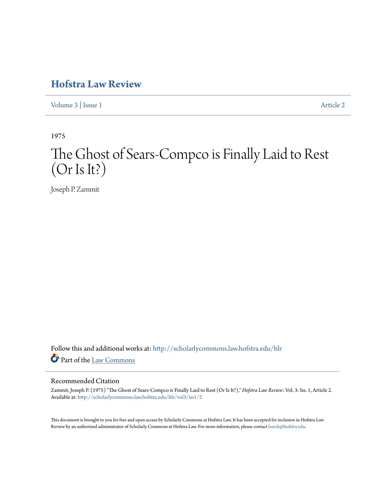## **[Hofstra Law Review](http://scholarlycommons.law.hofstra.edu/hlr?utm_source=scholarlycommons.law.hofstra.edu%2Fhlr%2Fvol3%2Fiss1%2F2&utm_medium=PDF&utm_campaign=PDFCoverPages)**

[Volume 3](http://scholarlycommons.law.hofstra.edu/hlr/vol3?utm_source=scholarlycommons.law.hofstra.edu%2Fhlr%2Fvol3%2Fiss1%2F2&utm_medium=PDF&utm_campaign=PDFCoverPages) | [Issue 1](http://scholarlycommons.law.hofstra.edu/hlr/vol3/iss1?utm_source=scholarlycommons.law.hofstra.edu%2Fhlr%2Fvol3%2Fiss1%2F2&utm_medium=PDF&utm_campaign=PDFCoverPages) [Article 2](http://scholarlycommons.law.hofstra.edu/hlr/vol3/iss1/2?utm_source=scholarlycommons.law.hofstra.edu%2Fhlr%2Fvol3%2Fiss1%2F2&utm_medium=PDF&utm_campaign=PDFCoverPages)

1975

# The Ghost of Sears-Compco is Finally Laid to Rest (Or Is It?)

Joseph P. Zammit

Follow this and additional works at: [http://scholarlycommons.law.hofstra.edu/hlr](http://scholarlycommons.law.hofstra.edu/hlr?utm_source=scholarlycommons.law.hofstra.edu%2Fhlr%2Fvol3%2Fiss1%2F2&utm_medium=PDF&utm_campaign=PDFCoverPages) Part of the [Law Commons](http://network.bepress.com/hgg/discipline/578?utm_source=scholarlycommons.law.hofstra.edu%2Fhlr%2Fvol3%2Fiss1%2F2&utm_medium=PDF&utm_campaign=PDFCoverPages)

#### Recommended Citation

Zammit, Joseph P. (1975) "The Ghost of Sears-Compco is Finally Laid to Rest (Or Is It?)," *Hofstra Law Review*: Vol. 3: Iss. 1, Article 2. Available at: [http://scholarlycommons.law.hofstra.edu/hlr/vol3/iss1/2](http://scholarlycommons.law.hofstra.edu/hlr/vol3/iss1/2?utm_source=scholarlycommons.law.hofstra.edu%2Fhlr%2Fvol3%2Fiss1%2F2&utm_medium=PDF&utm_campaign=PDFCoverPages)

This document is brought to you for free and open access by Scholarly Commons at Hofstra Law. It has been accepted for inclusion in Hofstra Law Review by an authorized administrator of Scholarly Commons at Hofstra Law. For more information, please contact [lawcls@hofstra.edu](mailto:lawcls@hofstra.edu).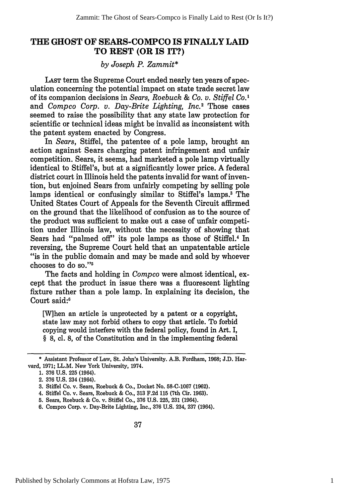### **THE GHOST OF SEARS-COMPCO IS FINALLY LAID TO REST (OR IS IT?)**

#### *by Joseph P. Zammit\**

LAST term the Supreme Court ended nearly ten years of speculation concerning the potential impact on state trade secret law of its companion decisions in *Sears, Roebuck & Co. v. Stiffel Co.'* and *Compco Corp. v. Day-Brite Lighting, Inc.2* Those cases seemed to raise the possibility that any state law protection for scientific or technical ideas might be invalid as inconsistent with the patent system enacted by Congress.

In *Sears,* Stiffel, the patentee of a pole lamp, brought an action against Sears charging patent infringement and unfair competition. Sears, it seems, had marketed a pole lamp virtually identical to Stiffel's, but at a significantly lower price. A federal district court in Illinois held the patents invalid for want of invention, but enjoined Sears from unfairly competing by selling pole lamps identical or confusingly similar to Stiffel's lamps.<sup>3</sup> The United States Court of Appeals for the Seventh Circuit affirmed on the ground that the likelihood of confusion as to the source of the product was sufficient to make out a case of unfair competition under Illinois law, without the necessity of showing that Sears had "palmed off" its pole lamps as those of Stiffel.4 In reversing, the Supreme Court held that an unpatentable article "is in the public domain and may be made and sold by whoever chooses to do so."'

The facts and holding in *Compco* were almost identical, except that the product in issue there was a fluorescent lighting fixture rather than a pole lamp. In explaining its decision, the Court said:<sup>6</sup>

[Wihen an article is unprotected by a patent or a copyright, state law may not forbid others to copy that article. To forbid copying would interfere with the federal policy, found in Art. I, **§** 8, cl. 8, of the Constitution and in the implementing federal

<sup>\*</sup> Assistant Professor of Law, St. John's University. A.B. Fordham, 1968; J.D. Harvard, 1971; LL.M. New York University, 1974.

<sup>1. 376</sup> U.S. 225 (1964).

<sup>2.</sup> **376** U.S. 234 (1964).

<sup>3.</sup> Stiffel Co. v. Sears, Roebuck & Co., Docket No. 58-C-1067 (1962).

<sup>4.</sup> Stiffel Co. v. Sears, Roebuck & Co., 313 F.2d **115** (7th Cir. 1963).

<sup>5.</sup> Sears, Roebuck & Co. v. Stiffel Co., **376** U.S. 225, 231 (1964).

<sup>6.</sup> Compco Corp. v. Day-Brite Lighting, Inc., 376 U.S. 234, 237 (1964).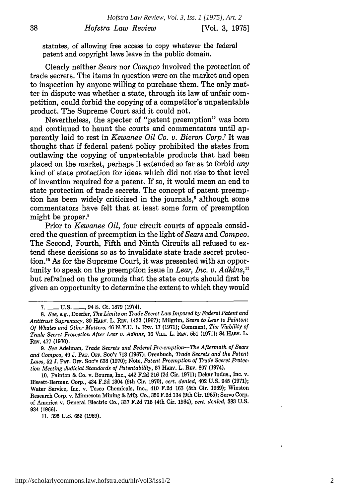statutes, of allowing free access to copy whatever the federal patent and copyright laws leave in the public domain.

Clearly neither *Sears* nor *Compco* involved the protection of trade secrets. The items in question were on the market and open to inspection by anyone willing to purchase them. The only matter in dispute was whether a state, through its law of unfair competition, could forbid the copying of a competitor's unpatentable product. The Supreme Court said it could not.

Nevertheless, the specter of "patent preemption" was born and continued to haunt the courts and commentators until apparently laid to rest in *Kewanee Oil Co. v. Bicron Corp.7* It was thought that if federal patent policy prohibited the states from outlawing the copying of unpatentable products that had been placed on the market, perhaps it extended so far as to forbid *any* kind of state protection for ideas which did not rise to that level of invention required for a patent. If so, it would mean an end to state protection of trade secrets. The concept of patent preemption has been widely criticized in the journals,<sup>8</sup> although some commentators have felt that at least some form of preemption might be proper.<sup>9</sup>

Prior to *Kewanee Oil,* four circuit courts of appeals considered the question of preemption in the light of *Sears* and *Compco.* The Second, Fourth, Fifth and Ninth Circuits all refused to extend these decisions so as to invalidate state trade secret protection."0 As for the Supreme Court, it was presented with an opportunity to speak on the preemption issue in *Lear, Inc. v. Adkins,"* but refrained on the grounds that the state courts should first be given an opportunity to determine the extent to which they would

**11.** 395 **U.S.** 653 (1969).

**<sup>7.-</sup> U.S. -.** 94 **S.** Ct. **1879** (1974).

*<sup>8.</sup> See, e.g.,* Doerfer, *The Limits on Trade Secret Law Imposed by Federal Patent and Antitrust Supremacy,* **80** HARv. L. REv. 1432 (1967); Milgrim, *Sears to Lear to Painton: Of Whales and Other Matters,* 46 N.Y.U. L. REv. 17 (1971); Comment, *The Viability of Trade Secret Protection After Lear v. Adkins, 16 VILL. L. REV. 551 (1971); 84 HARV. L.* REv. 477 (1970).

*<sup>9.</sup> See* Adelman, *Trade Secrets and Federal Pre-emption-The Aftermath of Sears and Compco,* 49 J. PAT. OFF. Soc'Y 713 (1967); Orenbuch, *Trade Secrets and the Patent Laws,* 52 J. PAT. OFF. Soc'Y 638 (1970); Note, *Patent Preemption of Trade Secret Protec. tion Meeting Judicial Standards of Patentability,* 87 HARv. L. Rev. 807 (1974).

<sup>10.</sup> Painton & Co. v. Bourns, Inc., 442 F.2d 216 (2d Cir. 1971); Dekar Indus., Inc. *v.* Bissett-Berman Corp., 434 F.2d 1304 (9th Cir. 1970), *cert. denied,* 402 U.S. 945 (1971); Water Service, Inc. v. Tesco Chemicals, Inc., 410 F.2d 163 (5th Cir. 1969); Winston Research Corp. v. Minnesota Mining & Mfg. Co., 350 F.2d 134 (9th Cir. 1965); Servo Corp. of America v. General Electric Co., 337 F.2d 716 (4th Cir. 1964), *cert. denied,* 383 U.S. 934 **(1966).**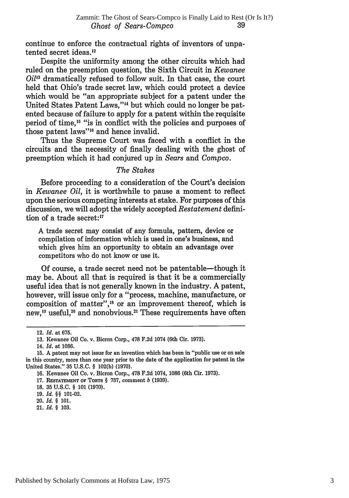continue to enforce the contractual rights of inventors of unpatented secret ideas.<sup>12</sup>

Despite the uniformity among the other circuits which had ruled on the preemption question, the Sixth Circuit in *Kewanee Oil'3* dramatically refused to follow suit. In that case, the court held that Ohio's trade secret law, which could protect a device which would be "an appropriate subject for a patent under the United States Patent Laws,"<sup>14</sup> but which could no longer be patented because of failure to apply for a patent within the requisite period of time,'5 "is in conflict with the policies and purposes of those patent laws"<sup>16</sup> and hence invalid.

Thus the Supreme Court was faced with a conflict in the circuits and the necessity of finally dealing with the ghost of preemption which it had conjured up in *Sears* and *Compco.*

#### *The Stakes*

Before proceeding to a consideration of the Court's decision in *Kewanee Oil,* it is worthwhile to pause a moment to reflect upon the serious competing interests at stake. For purposes of this discussion, we will adopt the widely accepted *Restatement* definition of a trade secret: $17$ 

A trade secret may consist of any formula, pattern, device or compilation of information which is used in one's business, and which gives him an opportunity to obtain an advantage over competitors who do not know or use it.

Of course, a trade secret need not be patentable—though it may be. About all that is required is that it be a commercially useful idea that is not generally known in the industry. A patent, however, will issue only for a "process, machine, manufacture, or composition of matter",<sup>18</sup> or an improvement thereof, which is new,<sup>19</sup> useful,<sup>20</sup> and nonobvious.<sup>21</sup> These requirements have ofter

<sup>12.</sup> *Id.* at 675.

<sup>13.</sup> Kewanee Oil Co. v. Bicron Corp., 478 F.2d 1074 (6th Cir. 1973).

<sup>14.</sup> *Id.* at 1086.

<sup>15.</sup> A patent may not issue for an invention which has been in "public use or on sale in this country, more than one year prior to the date of the application for patent in the United States." 35 U.S.C. § 102(b) (1970).

<sup>16.</sup> Kewanee Oil Co. v. Bicron Corp., 478 F.2d 1074, 1086 (6th Cir. 1973).

<sup>17.</sup> **RESTATEMENT** OF **TORTS** § 757, comment *b* (1939).

**<sup>18.</sup>** 35 U.S.C. § 101 **(1970).**

**<sup>19.</sup>** *Id. §§* 101-02.

<sup>20.</sup> *Id. §* 101.

<sup>21.</sup> *Id. §* 103.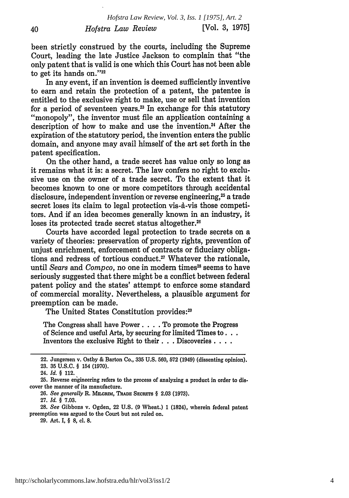been strictly construed by the courts, including the Supreme Court, leading the late Justice Jackson to complain that "the only patent that is valid is one which this Court has not been able to get its hands on."22

In any event, if an invention is deemed sufficiently inventive to earn and retain the protection of a patent, the patentee is entitled to the exclusive right to make, use or sell that invention for a period of seventeen years.2 In exchange for this statutory "monopoly", the inventor must file an application containing a description of how to make and use the invention.<sup>24</sup> After the expiration of the statutory period, the invention enters the public domain, and anyone may avail himself of the art set forth in the patent specification.

On the other hand, a trade secret has value only so long as it remains what it is: a secret. The law confers no right to exclusive use on the owner of a trade secret. To the extent that it becomes known to one or more competitors through accidental disclosure, independent invention or reverse engineering,<sup>25</sup> a trade secret loses its claim to legal protection vis-à-vis those competitors. And if an idea becomes generally known in an industry, it loses its protected trade secret status altogether.<sup>26</sup>

Courts have accorded legal protection to trade secrets on a variety of theories: preservation of property rights, prevention of unjust enrichment, enforcement of contracts or fiduciary obligations and redress of tortious conduct.<sup>27</sup> Whatever the rationale, until *Sears* and *Compco*, no one in modern times<sup>28</sup> seems to have seriously suggested that there might be a conflict between federal patent policy and the states' attempt to enforce some standard of commercial morality. Nevertheless, a plausible argument for preemption can be made.

The United States Constitution provides:<sup>20</sup>

The Congress shall have Power. . . . To promote the Progress of Science and useful Arts, **by** securing for limited Times **to...** Inventors the exclusive Right to their. **. .**Discoveries **....**

40

**27.** *Id. §* **7.03.**

**28.** *See* Gibbons v. Ogden, 22 **U.S. (9** Wheat.) **1** (1824), wherein federal patent preemption was argued to the Court but not ruled on.

**29.** Art. I, § **8, cl. 8.**

<sup>22.</sup> Jungersen v. Ostby **&** Barton Co., **335 U.S. 560, 572** (1949) (dissenting opinion). **23. 35 U.S.C.** § 154 **(1970).**

<sup>24.</sup> *Id. §* 112.

**<sup>25.</sup>** Reverse engineering refers to the process of analyzing a product in order to dis. cover the manner of its manufacture.

**<sup>26.</sup>** *See generally* R. MiLORmM, **TRADE SECRETS** § **2.03 (1973).**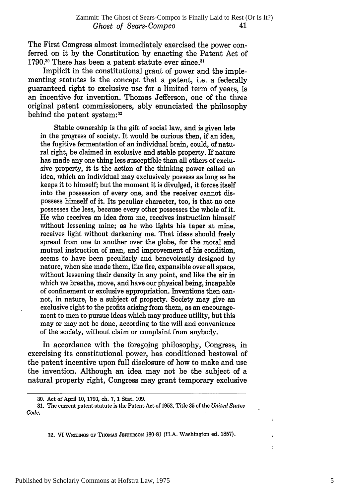The First Congress almost immediately exercised the power conferred on it by the Constitution by enacting the Patent Act of 1790.<sup>30</sup> There has been a patent statute ever since.<sup>31</sup>

Implicit in the constitutional grant of power and the implementing statutes is the concept that a patent, i.e. a federally guaranteed right to exclusive use for a limited term of years, is an incentive for invention. Thomas Jefferson, one of the three original patent commissioners, ably enunciated the philosophy behind the patent system:<sup>37</sup>

Stable ownership is the gift of social law, and is given late in the progress of society. It would be curious then, if an idea, the fugitive fermentation of an individual brain, could, of natural right, be claimed in exclusive and stable property. If nature has made any one thing less susceptible than all others of exclusive property, it is the action of the thinking power called an idea, which an individual may exclusively possess as long as he keeps it to himself; but the moment it is divulged, it forces itself into the possession of every one, and the receiver cannot dispossess himself of it. Its peculiar character, too, is that no one possesses the less, because every other possesses the whole of it. He who receives an idea from me, receives instruction himself without lessening mine; as he who lights his taper at mine, receives light without darkening me. That ideas should freely spread from one to another over the globe, for the moral and mutual instruction of man, and improvement of his condition, seems to have been peculiarly and benevolently designed by nature, when she made them, like fire, expansible over all space, without lessening their density in any point, and like the air in which we breathe, move, and have our physical being, incapable of confinement or exclusive appropriation. Inventions then cannot, in nature, be a subject of property. Society may give an exclusive right to the profits arising from them, as an encouragement to men to pursue ideas which may produce utility, but this may or may not be done, according to the will and convenience of the society, without claim or complaint from anybody.

In accordance with the foregoing philosophy, Congress, in exercising its constitutional power, has conditioned bestowal of the patent incentive upon full disclosure of how to make and use the invention. Although an idea may not be the subject of a natural property right, Congress may grant temporary exclusive

32. VI WRITINGS OF THOMAS JEFFERSON 180-81 (H.A. Washington ed. 1857).

<sup>30.</sup> Act of April 10, 1790, ch. 7, 1 Stat. 109.

**<sup>31.</sup>** The current patent statute is the Patent Act of **1952,** Title **35** of the *United States Code.*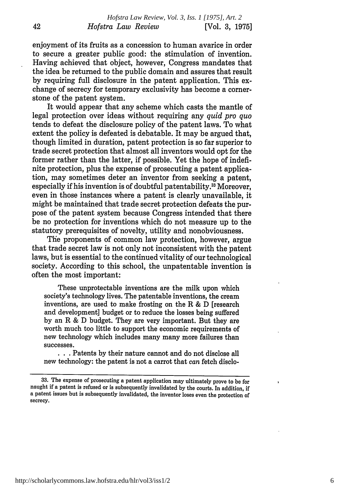enjoyment of its fruits as a concession to human avarice in order to secure a greater public good: the stimulation of invention. Having achieved that object, however, Congress mandates that the idea be returned to the public domain and assures that result by requiring full disclosure in the patent application. This exchange of secrecy for temporary exclusivity has become a cornerstone of the patent system.

It would appear that any scheme which casts the mantle of legal protection over ideas without requiring any *quid pro quo* tends to defeat the disclosure policy of the patent laws. To what extent the policy is defeated is debatable. It may be argued that, though limited in duration, patent protection is so far superior to trade secret protection that almost all inventors would opt for the former rather than the latter, if possible. Yet the hope of indefinite protection, plus the expense of prosecuting a patent application, may sometimes deter an inventor from seeking a patent, especially if his invention is of doubtful patentability.33 Moreover, even in those instances where a patent is clearly unavailable, it might be maintained that trade secret protection defeats the purpose of the patent system because Congress intended that there be no protection for inventions which do not measure up to the statutory prerequisites of novelty, utility and nonobviousness.

The proponents of common law protection, however, argue that trade secret law is not only not inconsistent with the patent laws, but is essential to the continued vitality of our technological society. According to this school, the unpatentable invention is often the most important:

These unprotectable inventions are the milk upon which society's technology lives. The patentable inventions, the cream inventions, are used to make frosting on the R  $&$  D [research] and development] budget or to reduce the losses being suffered by an R & D budget. They are very important. But they are worth much too little to support the economic requirements of new technology which includes many many more failures than successes.

**• . .** Patents by their nature cannot and do not disclose all new technology: the patent is not a carrot that *can* fetch disclo-

<sup>33.</sup> The expense of prosecuting a patent application may ultimately prove to be for naught if a patent is refused or is subsequently invalidated by the courts. In addition, if a patent issues but is subsequently invalidated, the inventor loses even the protection of secrecy.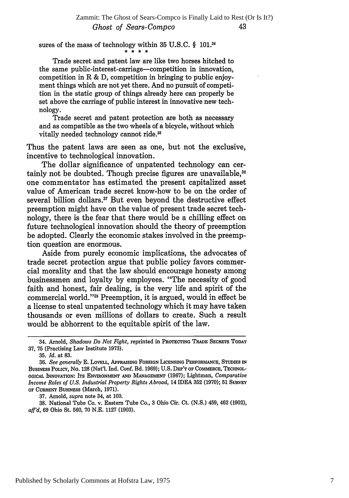sures of the mass of technology within 35 U.S.C.  $\S$  101.<sup>34</sup>

Trade secret and patent law are like two horses hitched to the same public-interest-carriage-competition in innovation, competition in R & D, competition in bringing to public enjoyment things which are not yet there. And no pursuit of competition in the static group of things already here can properly be set above the carriage of public interest in innovative new technology.

Trade secret and patent protection are both as necessary and as compatible as the two wheels of a bicycle, without which vitally needed technology cannot ride.<sup>35</sup>

Thus the patent laws are seen as one, but not the exclusive, incentive to technological innovation.

The dollar significance of unpatented technology can certainly not be doubted. Though precise figures are unavailable.<sup>36</sup> one commentator has estimated the present capitalized asset value of American trade secret know-how to be on the order of several billion dollars.<sup>37</sup> But even beyond the destructive effect preemption might have on the value of present trade secret technology, there is the fear that there would be a chilling effect on future technological innovation should the theory of preemption be adopted. Clearly the economic stakes involved in the preemption question are enormous.

Aside from purely economic implications, the advocates of trade secret protection argue that public policy favors commercial morality and that the law should encourage honesty among businessmen and loyalty by employees. "The necessity of good faith and honest, fair dealing, is the very life and spirit of the commercial world."3" Preemption, it is argued, would in effect be a license to steal unpatented technology which it may have taken thousands or even millions of dollars to create. Such a result would be abhorrent to the equitable spirit of the law.

37. Arnold, *supra* note 34, at 100.

38. National Tube Co. v. Eastern Tube Co., 3 Ohio Cir. Ct. (N.S.) 459, 462 (1902), *afl'd,* 69 Ohio St. 560, 70 N.E. 1127 (1903).

<sup>34.</sup> Arnold, *Shadows Do Not Fight,* **reprinted in** PROTECTING TRADE SECRETS **TODAY** 37, 75 (Practising Law Institute 1973).

<sup>35.</sup> *Id.* at 83.

**<sup>36.</sup>** *See generally* **E.** LOVELL, APPRAISING **FOREIGN** LICENSING PERFORMANCE, **STUDIES IN** BusiNEss PoucY, No. 128 (Nat'l. Ind. Conf. Bd. 1969); U.S. **DEP'T OF COMMERCE,** TECHNOL-**OGICAL INNOVATION: ITS ENVIRONMENT AND MANAGEMENT (1967);** Lightman, *Comparative Income Roles of U.S. Industrial Property Rights Abroad,* 14 IDEA 352 (1970); 51 **SURVEY OF** CURRENT BUSINESS (March, 1971).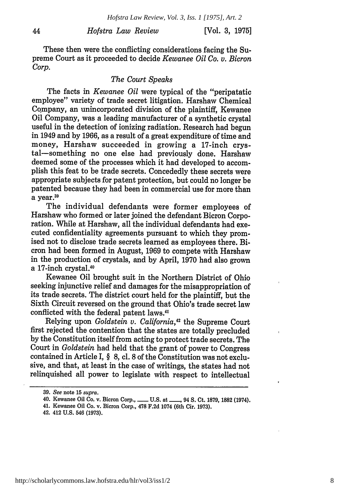#### *Hofstra Law Review*

These then were the conflicting considerations facing the Supreme Court as it proceeded to decide *Kewanee Oil Co. v. Bicron Corp.*

#### *The Court Speaks*

The facts in *Kewanee Oil* were typical of the "peripatatic employee" variety of trade secret litigation. Harshaw Chemical Company, an unincorporated division of the plaintiff, Kewanee Oil Company, was a leading manufacturer of a synthetic crystal useful in the detection of ionizing radiation. Research had begun in 1949 and by 1966, as a result of a great expenditure of time and money, Harshaw succeeded in growing a 17-inch crystal-something no one else had previously done. Harshaw deemed some of the processes which it had developed to accomplish this feat to be trade secrets. Concededly these secrets were appropriate subjects for patent protection, but could no longer be patented because they had been in commercial use for more than a year.39

The individual defendants were former employees of Harshaw who formed or later joined the defendant Bicron Corporation. While at Harshaw, all the individual defendants had executed confidentiality agreements pursuant to which they promised not to disclose trade secrets learned as employees there. Bicron had been formed in August, 1969 to compete with Harshaw in the production of crystals, and by April, 1970 had also grown a 17-inch crystal.<sup>40</sup>

Kewanee Oil brought suit in the Northern District of Ohio seeking injunctive relief and damages for the misappropriation of its trade secrets. The district court held for the plaintiff, but the Sixth Circuit reversed on the ground that Ohio's trade secret law conflicted with the federal patent laws."

Relying upon *Goldstein v. California,"2* the Supreme Court first rejected the contention that the states are totally precluded **by** the Constitution itself from acting to protect trade secrets. The Court in *Goldstein* had held that the grant of power to Congress contained in Article I, § **8,** cl. **8** of the Constitution was not exclusive, and that, at least in the case of writings, the states had not relinquished all power to legislate with respect to intellectual

**<sup>39.</sup>** *See* note **15** *supra.*

<sup>40.</sup> Kewanee Oil Co. v. Bicron Corp., ....... U.S. at ......, 94 S. Ct. 1879, 1882 (1974).

<sup>41.</sup> Kewanee Oil Co. v. Bicron Corp., **478 F.2d** 1074 (6th Cir. **1973).**

<sup>42. 412</sup> **U.S.** 546 **(1973).**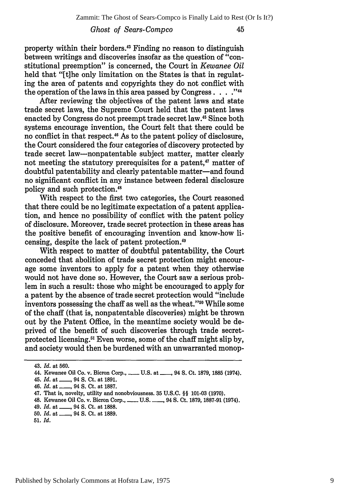#### *Ghost of Sears-Compco*

property within their borders.<sup>43</sup> Finding no reason to distinguish between writings and discoveries insofar as the question of "constitutional preemption" is concerned, the Court in *Kewanee Oil* held that "[t]he only limitation on the States is that in regulating the area of patents and copyrights they do not conflict with the operation of the laws in this area passed by Congress. . . .<sup>744</sup>

After reviewing the objectives of the patent laws and state trade secret laws, the Supreme Court held that the patent laws enacted by Congress do not preempt trade secret law.45 Since both systems encourage invention, the Court felt that there could be no conflict in that respect.<sup>46</sup> As to the patent policy of disclosure, the Court considered the four categories of discovery protected by trade secret law-nonpatentable subject matter, matter clearly not meeting the statutory prerequisites for a patent,<sup>47</sup> matter of doubtful patentability and clearly patentable matter-and found no significant conflict in any instance between federal disclosure policy and such protection.<sup>48</sup>

With respect to the first two categories, the Court reasoned that there could be no legitimate expectation of a patent application, and hence no possibility of conflict with the patent policy of disclosure. Moreover, trade secret protection in these areas has the positive benefit of encouraging invention and know-how licensing, despite the lack of patent protection.<sup>49</sup>

With respect to matter of doubtful patentability, the Court conceded that abolition of trade secret protection might encourage some inventors to apply for a patent when they otherwise would not have done so. However, the Court saw a serious problem in such a result: those who might be encouraged to apply for a patent by the absence of trade secret protection would "include inventors possessing the chaff as well as the wheat."<sup>50</sup> While some of the chaff (that is, nonpatentable discoveries) might be thrown out by the Patent Office, in the meantime society would be deprived of the benefit of such discoveries through trade secretprotected licensing." Even worse, some of the chaff might slip by, and society would then be burdened with an unwarranted monop-

<sup>43.</sup> *Id.* at 560.

<sup>44.</sup> Kewanee Oil Co. v. Bicron Corp., **-U.S. at\_** 94 **S.** Ct. **1879,** 1885 (1974).

<sup>45.</sup> *Id.* at., 94 **S.** Ct. at 1891. 46. *Id.* at \_\_\_, 94 S. Ct. at 1887.

<sup>47.</sup> That is, novelty, utility and nonobviousness. 35 U.S.C. §§ 101-03 (1970). 48. Kewanee Oil Co. v. Bicron Corp., **-** U.S. **\_,** 94 **S.** Ct. 1879, 1887-91 (1974).

<sup>49.</sup> *Id.* at **,** 94 **S.** Ct. at 1888.

<sup>50.</sup> *Id.* at , 94 S. Ct. at 1889.

**<sup>51.</sup>** *Id.*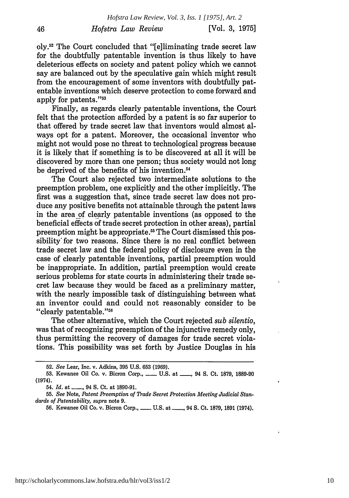oly.<sup>52</sup> The Court concluded that "[e]liminating trade secret law for the doubtfully patentable invention is thus likely to have deleterious effects on society and patent policy which we cannot say are balanced out by the speculative gain which might result from the encouragement of some inventors with doubtfully patentable inventions which deserve protection to come forward and apply for patents."<sup>53</sup>

46

Finally, as regards clearly patentable inventions, the Court felt that the protection afforded by a patent is so far superior to that offered by trade secret law that inventors would almost always opt for a patent. Moreover, the occasional inventor who might not would pose no threat to technological progress because it is likely that if something is to be discovered at all it will be discovered by more than one person; thus society would not long be deprived of the benefits of his invention.<sup>54</sup>

The Court also rejected two intermediate solutions to the preemption problem, one explicitly and the other implicitly. The first was a suggestion that, since trade secret law does not produce any positive benefits not attainable through the patent laws in the area of clearly patentable inventions (as opposed to the beneficial effects of trade secret protection in other areas), partial preemption might be appropriate. 55 The Court dismissed this possibility' for two reasons. Since there is no real conflict between trade secret law and the federal policy of disclosure even in the case of clearly patentable inventions, partial preemption would be inappropriate. In addition, partial preemption would create serious problems for state courts in administering their trade secret law because they would be faced as a preliminary matter, with the nearly impossible task of distinguishing between what an inventor could and could not reasonably consider to be "clearly patentable."5

The other alternative, which the Court rejected *sub silentio,* was that of recognizing preemption of the injunctive remedy only, thus permitting the recovery of damages for trade secret violations. This possibility was set forth by Justice Douglas in his

Í.

<sup>52.</sup> *See* Lear, Inc. v. Adkins, **395 U.S. 653 (1969).**

<sup>53.</sup> Kewanee Oil Co. v. Bicron Corp., **\_\_\_\_ U.S. at \_\_\_, 94 S. Ct. 1879, 1889-90** (1974).

<sup>54.</sup> *Id.* **at \_** 94 **S.** Ct. at **1890-91.**

**<sup>55.</sup>** *See* Note, *Patent Preemption of Trade Secret Protection Meeting Judicial Standards of Patentability, supra* note **9.**

**<sup>56.</sup>** Kewanee Oil Co. v. Bicron Corp., **- U.S.** at **,** 94 **S.** Ct. **1879, 1891** (1974).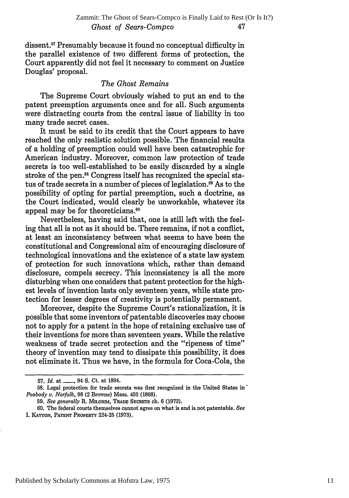dissent.<sup>57</sup> Presumably because it found no conceptual difficulty in the parallel existence of two different forms of protection, the Court apparently did not feel it necessary to comment on Justice Douglas' proposal.

#### *The Ghost Remains*

The Supreme Court obviously wished to put an end to the patent preemption arguments once and for all. Such arguments were distracting courts from the central issue of liability in too many trade secret cases.

It must be said to its credit that the Court appears to have reached the only realistic solution possible. The financial results of a holding of preemption could well have been catastrophic for American industry. Moreover, common law protection of trade secrets is too well-established to be easily discarded by a single stroke of the pen.<sup>58</sup> Congress itself has recognized the special status of trade secrets in a number of pieces of legislation.<sup>59</sup> As to the possibility of opting for partial preemption, such a doctrine, as the Court indicated, would clearly be unworkable, whatever its appeal may be for theoreticians.<sup>61</sup>

Nevertheless, having said that, one is still left with the feeling that all is not as it should be. There remains, if not a conflict, at least an inconsistency between what seems to have been the constitutional and Congressional aim of encouraging disclosure of technological innovations and the existence of a state law system of protection for such innovations which, rather than demand disclosure, compels secrecy. This inconsistency is all the more disturbing when one considers that patent protection for the highest levels of invention lasts only seventeen years, while state protection for lesser degrees of creativity is potentially permanent.

Moreover, despite the Supreme Court's rationalization, it is possible that some inventors of patentable discoveries may choose not to apply for a patent in the hope of retaining exclusive use of their inventions for more than seventeen years. While the relative weakness of trade secret protection and the "ripeness of time" theory of invention may tend to dissipate this possibility, it does not eliminate it. Thus we have, in the formula for Coca-Cola, the

<sup>57.</sup> *Id.* at \_\_\_\_, 94 S. Ct. at 1894.

**<sup>58.</sup>** Legal protection for trade secrets was first recognized in the United States in' *Peabody v. Norfolk,* **98** (2 Browne) Mass. 452 **(1868).**

<sup>59.</sup> *See generally* R. MmLGmua, **TRADE SECRETS** ch. 6 (1973).

<sup>60.</sup> The federal courts themselves cannot agree on what is and is not patentable. *See* I. **KAYTON, PATENT** PROPERTY 224-25 (1973).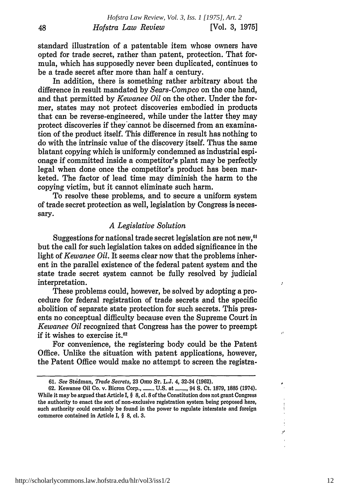standard illustration of a patentable item whose owners have opted for trade secret, rather than patent, protection. That formula, which has supposedly never been duplicated, continues to be a trade secret after more than half a century.

48

In addition, there is something rather arbitrary about the difference in result mandated by *Sears-Compco* on the one hand, and that permitted by *Kewanee Oil* on the other. Under the former, states may not protect discoveries embodied in products that can be reverse-engineered, while under the latter they may protect discoveries if they cannot be discerned from an examination of the product itself. This difference in result has nothing to do with the intrinsic value of the discovery itself. Thus the same blatant copying which is uniformly condemned as industrial espionage if committed inside a competitor's plant may be perfectly legal when done once the competitor's product has been marketed. The factor of lead time may diminish the harm to the copying victim, but it cannot eliminate such harm.

To resolve these problems, and to secure a uniform system of trade secret protection as well, legislation by Congress is necessary.

#### *A Legislative Solution*

Suggestions for national trade secret legislation are not new,<sup>61</sup> but the call for such legislation takes on added significance in the light of *Kewanee Oil*. It seems clear now that the problems inherent in the parallel existence of the federal patent system and the state trade secret system cannot be fully resolved by judicial interpretation.

These problems could, however, be solved by adopting a procedure for federal registration of trade secrets and the specific abolition of separate state protection for such secrets. This presents no conceptual difficulty because even the Supreme Court in *Kewanee Oil* recognized that Congress has the power to preempt if it wishes to exercise **it.62**

For convenience, the registering body could be the Patent Office. Unlike the situation with patent applications, however, the Patent Office would make no attempt to screen the registra-

http://scholarlycommons.law.hofstra.edu/hlr/vol3/iss1/2

J.

 $\mathbf{A}$ 

 $\mathbf{r}^{\mathrm{t}}$ 

**<sup>61.</sup>** *See* Stedman, *Trade Secrets,* 23 **Omo ST. L.J.** 4, 32-34 **(1962).**

**<sup>62.</sup>** Kewanee Oil Co. v. Bicron Corp., **-** U.S. at **-. ,** 94 **S.** Ct. 1879, **1885** (1974). While it may be argued that Article I, § **8,** cl. **8** of the Constitution does not grant Congress the authority to enact the sort of non-exclusive registration system being proposed here, such authority could certainly be found in the power to regulate interstate and foreign commerce contained in Article I, § 8, cl. **3.**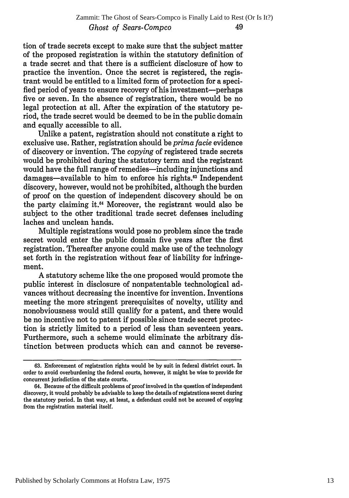tion of trade secrets except to make sure that the subject matter of the proposed registration is within the statutory definition of a trade secret and that there is a sufficient disclosure of how to practice the invention. Once the secret is registered, the registrant would be entitled to a limited form of protection for a specified period of years to ensure recovery of his investment--perhaps five or seven. In the absence of registration, there would be no legal protection at all. After the expiration of the statutory period, the trade secret would be deemed to be in the public domain and equally accessible to all.

Unlike a patent, registration should not constitute a right to exclusive use. Rather, registration should be *prima facie* evidence of discovery or invention. The *copying* of registered trade secrets would be prohibited during the statutory term and the registrant would have the full range of remedies-including injunctions and damages—available to him to enforce his rights.<sup>63</sup> Independent discovery, however, would not be prohibited, although the burden of proof on the question of independent discovery should be on the party claiming it.<sup>64</sup> Moreover, the registrant would also be subject to the other traditional trade secret defenses including laches and unclean hands.

Multiple registrations would pose no problem since the trade secret would enter the public domain five years after the first registration. Thereafter anyone could make use of the technology set forth in the registration without fear of liability for infringement.

A statutory scheme like the one proposed would promote the public interest in disclosure of nonpatentable technological advances without decreasing the incentive for invention. Inventions meeting the more stringent prerequisites of novelty, utility and nonobviousness would still qualify for a patent, and there would be no incentive not to patent if possible since trade secret protection is strictly limited to a period of less than seventeen years. Furthermore, such a scheme would eliminate the arbitrary distinction between products which can and cannot be reverse-

**<sup>63.</sup>** Enforcement of registration rights would be by suit in federal district court. In order to avoid overburdening the federal courts, however, it might be wise to provide for concurrent jurisdiction of the state courts.

<sup>64.</sup> Because of the difficult problems of proof involved in the question of independent discovery, it would probably be advisable to keep the details of registrations secret during the statutory period. In that way, at least, a defendant could not be accused of copying from the registration material itself.